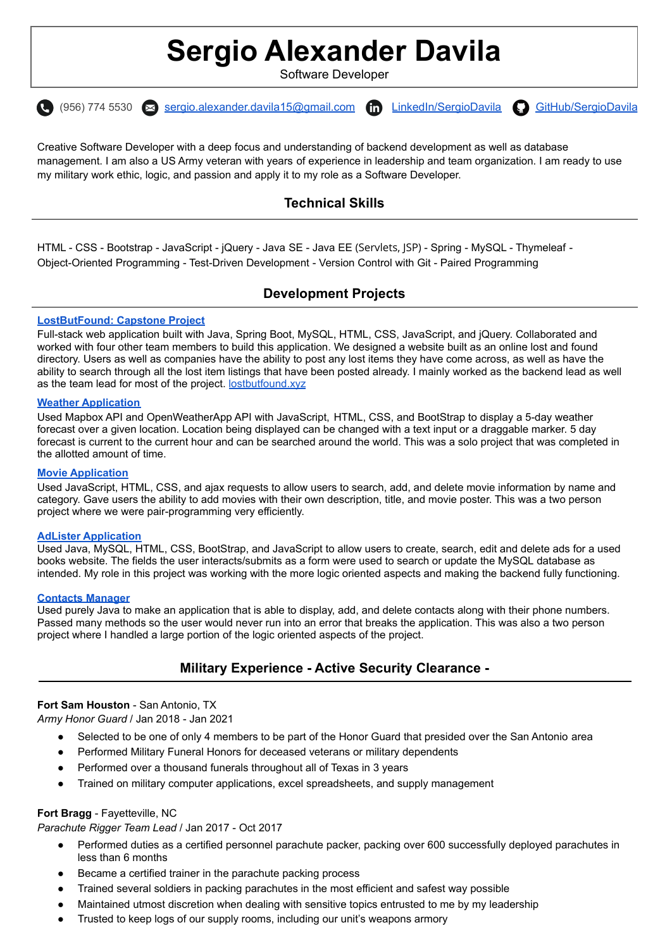# **Sergio Alexander Davila**

Software Developer



Creative Software Developer with a deep focus and understanding of backend development as well as database management. I am also a US Army veteran with years of experience in leadership and team organization. I am ready to use my military work ethic, logic, and passion and apply it to my role as a Software Developer.

# **Technical Skills**

HTML - CSS - Bootstrap - JavaScript - jQuery - Java SE - Java EE (Servlets, JSP) - Spring - MySQL - Thymeleaf - Object-Oriented Programming - Test-Driven Development - Version Control with Git - Paired Programming

# **Development Projects**

## **[LostButFound:](https://github.com/LostButFound-capstone/LostButFound) Capstone Project**

Full-stack web application built with Java, Spring Boot, MySQL, HTML, CSS, JavaScript, and jQuery. Collaborated and worked with four other team members to build this application. We designed a website built as an online lost and found directory. Users as well as companies have the ability to post any lost items they have come across, as well as have the ability to search through all the lost item listings that have been posted already. I mainly worked as the backend lead as well as the team lead for most of the project. [lostbutfound.xyz](https://lostbutfound.xyz/)

### **Weather [Application](https://github.com/sergio-davila/codeup-web-exercises/blob/main/weather_map.html)**

Used Mapbox API and OpenWeatherApp API with JavaScript, HTML, CSS, and BootStrap to display a 5-day weather forecast over a given location. Location being displayed can be changed with a text input or a draggable marker. 5 day forecast is current to the current hour and can be searched around the world. This was a solo project that was completed in the allotted amount of time.

#### **Movie [Application](https://github.com/davila-martinez-french/movie-project)**

Used JavaScript, HTML, CSS, and ajax requests to allow users to search, add, and delete movie information by name and category. Gave users the ability to add movies with their own description, title, and movie poster. This was a two person project where we were pair-programming very efficiently.

#### **AdLister [Application](https://github.com/BookLister/BookListerProject)**

Used Java, MySQL, HTML, CSS, BootStrap, and JavaScript to allow users to create, search, edit and delete ads for a used books website. The fields the user interacts/submits as a form were used to search or update the MySQL database as intended. My role in this project was working with the more logic oriented aspects and making the backend fully functioning.

#### **[Contacts](https://github.com/davila-stephen/contacts-manager) Manager**

Used purely Java to make an application that is able to display, add, and delete contacts along with their phone numbers. Passed many methods so the user would never run into an error that breaks the application. This was also a two person project where I handled a large portion of the logic oriented aspects of the project.

## **Military Experience - Active Security Clearance -**

#### **Fort Sam Houston** - San Antonio, TX

*Army Honor Guard* / Jan 2018 - Jan 2021

- Selected to be one of only 4 members to be part of the Honor Guard that presided over the San Antonio area
- Performed Military Funeral Honors for deceased veterans or military dependents
- Performed over a thousand funerals throughout all of Texas in 3 years
- Trained on military computer applications, excel spreadsheets, and supply management

#### **Fort Bragg** - Fayetteville, NC

*Parachute Rigger Team Lead* / Jan 2017 - Oct 2017

- Performed duties as a certified personnel parachute packer, packing over 600 successfully deployed parachutes in less than 6 months
- Became a certified trainer in the parachute packing process
- Trained several soldiers in packing parachutes in the most efficient and safest way possible
- Maintained utmost discretion when dealing with sensitive topics entrusted to me by my leadership
- Trusted to keep logs of our supply rooms, including our unit's weapons armory